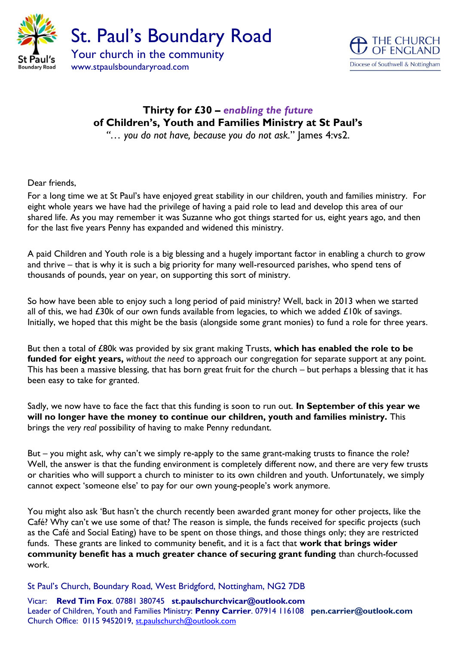



## **Thirty for £30 –** *enabling the future* **of Children's, Youth and Families Ministry at St Paul's** *"… you do not have, because you do not ask.*" James 4:vs2.

Dear friends,

For a long time we at St Paul's have enjoyed great stability in our children, youth and families ministry. For eight whole years we have had the privilege of having a paid role to lead and develop this area of our shared life. As you may remember it was Suzanne who got things started for us, eight years ago, and then for the last five years Penny has expanded and widened this ministry.

A paid Children and Youth role is a big blessing and a hugely important factor in enabling a church to grow and thrive – that is why it is such a big priority for many well-resourced parishes, who spend tens of thousands of pounds, year on year, on supporting this sort of ministry.

So how have been able to enjoy such a long period of paid ministry? Well, back in 2013 when we started all of this, we had  $£30k$  of our own funds available from legacies, to which we added  $£10k$  of savings. Initially, we hoped that this might be the basis (alongside some grant monies) to fund a role for three years.

But then a total of £80k was provided by six grant making Trusts, **which has enabled the role to be funded for eight years,** *without the need* to approach our congregation for separate support at any point. This has been a massive blessing, that has born great fruit for the church – but perhaps a blessing that it has been easy to take for granted.

Sadly, we now have to face the fact that this funding is soon to run out. **In September of this year we will no longer have the money to continue our children, youth and families ministry.** This brings the *very real* possibility of having to make Penny redundant.

But – you might ask, why can't we simply re-apply to the same grant-making trusts to finance the role? Well, the answer is that the funding environment is completely different now, and there are very few trusts or charities who will support a church to minister to its own children and youth. Unfortunately, we simply cannot expect 'someone else' to pay for our own young-people's work anymore.

You might also ask 'But hasn't the church recently been awarded grant money for other projects, like the Café? Why can't we use some of that? The reason is simple, the funds received for specific projects (such as the Café and Social Eating) have to be spent on those things, and those things only; they are restricted funds. These grants are linked to community benefit, and it is a fact that **work that brings wider community benefit has a much greater chance of securing grant funding** than church-focussed work.

St Paul's Church, Boundary Road, West Bridgford, Nottingham, NG2 7DB

Vicar: **Revd Tim Fox**. 07881 380745 **st.paulschurchvicar@outlook.com** Leader of Children, Youth and Families Ministry: **Penny Carrier**. 07914 116108 **pen.carrier@outlook.com** Church Office: 0115 9452019, [st.paulschurch@outlook.com](mailto:st.paulschurch@outlook.com)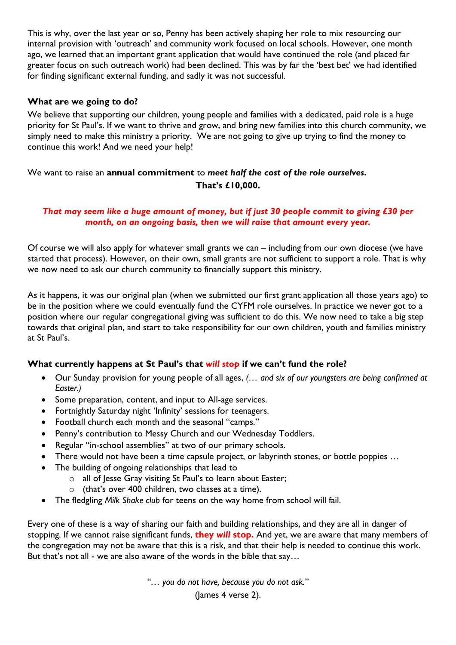This is why, over the last year or so, Penny has been actively shaping her role to mix resourcing our internal provision with 'outreach' and community work focused on local schools. However, one month ago, we learned that an important grant application that would have continued the role (and placed far greater focus on such outreach work) had been declined. This was by far the 'best bet' we had identified for finding significant external funding, and sadly it was not successful.

#### **What are we going to do?**

We believe that supporting our children, young people and families with a dedicated, paid role is a huge priority for St Paul's. If we want to thrive and grow, and bring new families into this church community, we simply need to make this ministry a priority. We are not going to give up trying to find the money to continue this work! And we need your help!

### We want to raise an **annual commitment** to *meet half the cost of the role ourselves***. That's £10,000.**

#### *That may seem like a huge amount of money, but if just 30 people commit to giving £30 per month, on an ongoing basis, then we will raise that amount every year.*

Of course we will also apply for whatever small grants we can – including from our own diocese (we have started that process). However, on their own, small grants are not sufficient to support a role. That is why we now need to ask our church community to financially support this ministry.

As it happens, it was our original plan (when we submitted our first grant application all those years ago) to be in the position where we could eventually fund the CYFM role ourselves. In practice we never got to a position where our regular congregational giving was sufficient to do this. We now need to take a big step towards that original plan, and start to take responsibility for our own children, youth and families ministry at St Paul's.

#### **What currently happens at St Paul's that** *will stop* **if we can't fund the role?**

- Our Sunday provision for young people of all ages, *(… and six of our youngsters are being confirmed at Easter.)*
- Some preparation, content, and input to All-age services.
- Fortnightly Saturday night 'Infinity' sessions for teenagers.
- Football church each month and the seasonal "camps."
- Penny's contribution to Messy Church and our Wednesday Toddlers.
- Regular "in-school assemblies" at two of our primary schools.
- There would not have been a time capsule project, or labyrinth stones, or bottle poppies ...
- The building of ongoing relationships that lead to
	- o all of Jesse Gray visiting St Paul's to learn about Easter;
	- o (that's over 400 children, two classes at a time).
- The fledgling *Milk Shake club* for teens on the way home from school will fail.

Every one of these is a way of sharing our faith and building relationships, and they are all in danger of stopping. If we cannot raise significant funds, **they** *will* **stop.** And yet, we are aware that many members of the congregation may not be aware that this is a risk, and that their help is needed to continue this work. But that's not all - we are also aware of the words in the bible that say…

*"… you do not have, because you do not ask.*"

(James 4 verse 2).